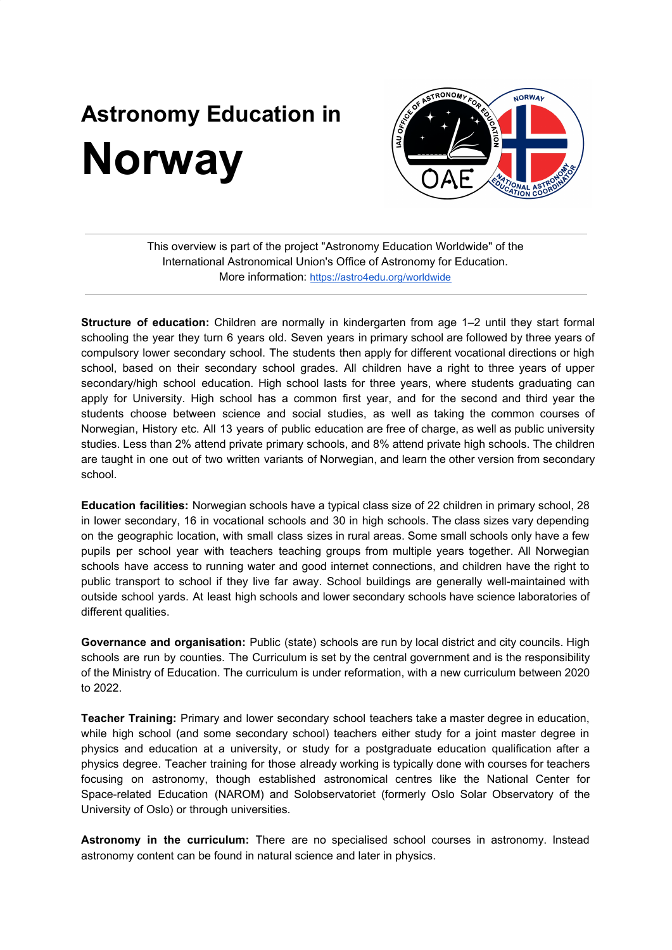## **Astronomy Education in Norway**



This overview is part of the project "Astronomy Education Worldwide" of the International Astronomical Union's Office of Astronomy for Education. More information: <https://astro4edu.org/worldwide>

**Structure of education:** Children are normally in kindergarten from age 1–2 until they start formal schooling the year they turn 6 years old. Seven years in primary school are followed by three years of compulsory lower secondary school. The students then apply for different vocational directions or high school, based on their secondary school grades. All children have a right to three years of upper secondary/high school education. High school lasts for three years, where students graduating can apply for University. High school has a common first year, and for the second and third year the students choose between science and social studies, as well as taking the common courses of Norwegian, History etc. All 13 years of public education are free of charge, as well as public university studies. Less than 2% attend private primary schools, and 8% attend private high schools. The children are taught in one out of two written variants of Norwegian, and learn the other version from secondary school.

**Education facilities:** Norwegian schools have a typical class size of 22 children in primary school, 28 in lower secondary, 16 in vocational schools and 30 in high schools. The class sizes vary depending on the geographic location, with small class sizes in rural areas. Some small schools only have a few pupils per school year with teachers teaching groups from multiple years together. All Norwegian schools have access to running water and good internet connections, and children have the right to public transport to school if they live far away. School buildings are generally well-maintained with outside school yards. At least high schools and lower secondary schools have science laboratories of different qualities.

**Governance and organisation:** Public (state) schools are run by local district and city councils. High schools are run by counties. The Curriculum is set by the central government and is the responsibility of the Ministry of Education. The curriculum is under reformation, with a new curriculum between 2020 to 2022.

**Teacher Training:** Primary and lower secondary school teachers take a master degree in education, while high school (and some secondary school) teachers either study for a joint master degree in physics and education at a university, or study for a postgraduate education qualification after a physics degree. Teacher training for those already working is typically done with courses for teachers focusing on astronomy, though established astronomical centres like the National Center for Space-related Education (NAROM) and Solobservatoriet (formerly Oslo Solar Observatory of the University of Oslo) or through universities.

**Astronomy in the curriculum:** There are no specialised school courses in astronomy. Instead astronomy content can be found in natural science and later in physics.